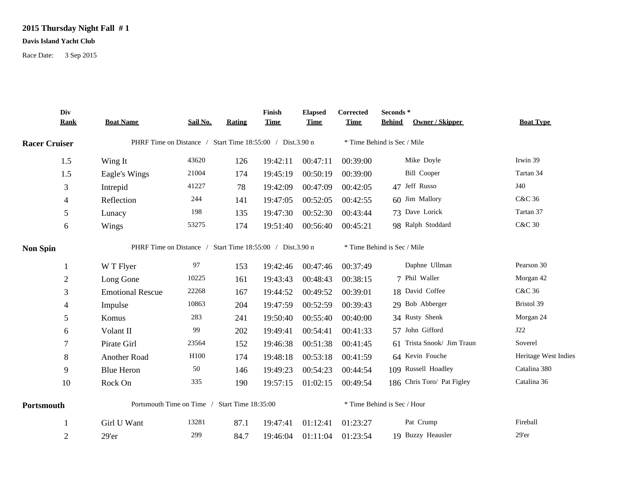## **2015 Thursday Night Fall # 1**

## **Davis Island Yacht Club**

Race Date: 3 Sep 2015

|                      | Div<br><b>Rank</b> | <b>Boat Name</b>                                          | Sail No.         | <b>Rating</b> | Finish<br><b>Time</b> | <b>Elapsed</b><br><b>Time</b> | Corrected<br><b>Time</b> | Seconds*<br><b>Owner / Skipper</b><br><b>Behind</b> | <b>Boat Type</b>     |  |  |  |
|----------------------|--------------------|-----------------------------------------------------------|------------------|---------------|-----------------------|-------------------------------|--------------------------|-----------------------------------------------------|----------------------|--|--|--|
|                      |                    |                                                           |                  |               |                       |                               |                          |                                                     |                      |  |  |  |
| <b>Racer Cruiser</b> |                    | PHRF Time on Distance / Start Time 18:55:00 / Dist.3.90 n |                  |               |                       |                               |                          | * Time Behind is Sec / Mile                         |                      |  |  |  |
|                      | 1.5                | Wing It                                                   | 43620            | 126           | 19:42:11              | 00:47:11                      | 00:39:00                 | Mike Doyle                                          | Irwin 39             |  |  |  |
|                      | 1.5                | Eagle's Wings                                             | 21004            | 174           | 19:45:19              | 00:50:19                      | 00:39:00                 | <b>Bill Cooper</b>                                  | Tartan 34            |  |  |  |
|                      | 3                  | Intrepid                                                  | 41227            | 78            | 19:42:09              | 00:47:09                      | 00:42:05                 | 47 Jeff Russo                                       | J40                  |  |  |  |
|                      | 4                  | Reflection                                                | 244              | 141           | 19:47:05              | 00:52:05                      | 00:42:55                 | 60 Jim Mallory                                      | <b>C&amp;C 36</b>    |  |  |  |
|                      | $\mathfrak s$      | Lunacy                                                    | 198              | 135           | 19:47:30              | 00:52:30                      | 00:43:44                 | 73 Dave Lorick                                      | Tartan 37            |  |  |  |
|                      | $\sqrt{6}$         | Wings                                                     | 53275            | 174           | 19:51:40              | 00:56:40                      | 00:45:21                 | 98 Ralph Stoddard                                   | <b>C&amp;C 30</b>    |  |  |  |
| <b>Non Spin</b>      |                    | PHRF Time on Distance / Start Time 18:55:00 / Dist.3.90 n |                  |               |                       |                               |                          | * Time Behind is Sec / Mile                         |                      |  |  |  |
|                      |                    | W T Flyer                                                 | 97               | 153           | 19:42:46              | 00:47:46                      | 00:37:49                 | Daphne Ullman                                       | Pearson 30           |  |  |  |
|                      | $\overline{2}$     | Long Gone                                                 | 10225            | 161           | 19:43:43              | 00:48:43                      | 00:38:15                 | 7 Phil Waller                                       | Morgan 42            |  |  |  |
|                      | 3                  | <b>Emotional Rescue</b>                                   | 22268            | 167           | 19:44:52              | 00:49:52                      | 00:39:01                 | 18 David Coffee                                     | C&C 36               |  |  |  |
|                      | 4                  | Impulse                                                   | 10863            | 204           | 19:47:59              | 00:52:59                      | 00:39:43                 | 29 Bob Abberger                                     | Bristol 39           |  |  |  |
|                      | 5                  | Komus                                                     | 283              | 241           | 19:50:40              | 00:55:40                      | 00:40:00                 | 34 Rusty Shenk                                      | Morgan 24            |  |  |  |
|                      | 6                  | Volant II                                                 | 99               | 202           | 19:49:41              | 00:54:41                      | 00:41:33                 | 57 John Gifford                                     | J22                  |  |  |  |
|                      | 7                  | Pirate Girl                                               | 23564            | 152           | 19:46:38              | 00:51:38                      | 00:41:45                 | 61 Trista Snook/ Jim Traun                          | Soverel              |  |  |  |
|                      | 8                  | Another Road                                              | H <sub>100</sub> | 174           | 19:48:18              | 00:53:18                      | 00:41:59                 | 64 Kevin Fouche                                     | Heritage West Indies |  |  |  |
|                      | 9                  | <b>Blue Heron</b>                                         | 50               | 146           | 19:49:23              | 00:54:23                      | 00:44:54                 | 109 Russell Hoadley                                 | Catalina 380         |  |  |  |
|                      | 10                 | Rock On                                                   | 335              | 190           | 19:57:15              | 01:02:15                      | 00:49:54                 | 186 Chris Toro/ Pat Figley                          | Catalina 36          |  |  |  |
| Portsmouth           |                    | Portsmouth Time on Time / Start Time 18:35:00             |                  |               |                       |                               |                          | * Time Behind is Sec / Hour                         |                      |  |  |  |
|                      |                    | Girl U Want                                               | 13281            | 87.1          | 19:47:41              | 01:12:41                      | 01:23:27                 | Pat Crump                                           | Fireball             |  |  |  |
|                      | $\overline{2}$     | 29'er                                                     | 299              | 84.7          | 19:46:04              | 01:11:04                      | 01:23:54                 | 19 Buzzy Heausler                                   | 29'er                |  |  |  |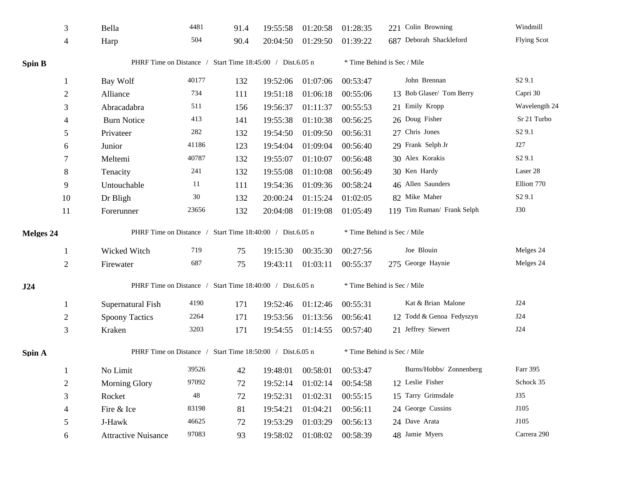|               | 3              | Bella                                                     | 4481  | 91.4 | 19:55:58                    | 01:20:58 | 01:28:35                    | 221 Colin Browning          | Windmill           |  |  |  |
|---------------|----------------|-----------------------------------------------------------|-------|------|-----------------------------|----------|-----------------------------|-----------------------------|--------------------|--|--|--|
|               | $\overline{4}$ | Harp                                                      | 504   | 90.4 | 20:04:50                    | 01:29:50 | 01:39:22                    | 687 Deborah Shackleford     | <b>Flying Scot</b> |  |  |  |
| <b>Spin B</b> |                | PHRF Time on Distance / Start Time 18:45:00 / Dist.6.05 n |       |      |                             |          | * Time Behind is Sec / Mile |                             |                    |  |  |  |
|               | -1             | Bay Wolf                                                  | 40177 | 132  | 19:52:06                    | 01:07:06 | 00:53:47                    | John Brennan                | S <sub>2</sub> 9.1 |  |  |  |
|               | $\overline{2}$ | Alliance                                                  | 734   | 111  | 19:51:18                    | 01:06:18 | 00:55:06                    | 13 Bob Glaser/ Tom Berry    | Capri 30           |  |  |  |
|               | 3              | Abracadabra                                               | 511   | 156  | 19:56:37                    | 01:11:37 | 00:55:53                    | 21 Emily Kropp              | Wavelength 24      |  |  |  |
|               | 4              | <b>Burn Notice</b>                                        | 413   | 141  | 19:55:38                    | 01:10:38 | 00:56:25                    | 26 Doug Fisher              | Sr 21 Turbo        |  |  |  |
|               | 5              | Privateer                                                 | 282   | 132  | 19:54:50                    | 01:09:50 | 00:56:31                    | 27 Chris Jones              | S <sub>2</sub> 9.1 |  |  |  |
|               | 6              | Junior                                                    | 41186 | 123  | 19:54:04                    | 01:09:04 | 00:56:40                    | 29 Frank Selph Jr           | J27                |  |  |  |
|               | 7              | Meltemi                                                   | 40787 | 132  | 19:55:07                    | 01:10:07 | 00:56:48                    | 30 Alex Korakis             | S <sub>2</sub> 9.1 |  |  |  |
|               | $8\,$          | Tenacity                                                  | 241   | 132  | 19:55:08                    | 01:10:08 | 00:56:49                    | 30 Ken Hardy                | Laser 28           |  |  |  |
|               | 9              | Untouchable                                               | 11    | 111  | 19:54:36                    | 01:09:36 | 00:58:24                    | 46 Allen Saunders           | Elliott 770        |  |  |  |
|               | 10             | Dr Bligh                                                  | 30    | 132  | 20:00:24                    | 01:15:24 | 01:02:05                    | 82 Mike Maher               | S <sub>2</sub> 9.1 |  |  |  |
|               | 11             | Forerunner                                                | 23656 | 132  | 20:04:08                    | 01:19:08 | 01:05:49                    | 119 Tim Ruman/ Frank Selph  | <b>J30</b>         |  |  |  |
| Melges 24     |                | PHRF Time on Distance / Start Time 18:40:00 / Dist.6.05 n |       |      |                             |          |                             | * Time Behind is Sec / Mile |                    |  |  |  |
|               | -1             | Wicked Witch                                              | 719   | 75   | 19:15:30                    | 00:35:30 | 00:27:56                    | Joe Blouin                  | Melges 24          |  |  |  |
|               | $\mathfrak{2}$ | Firewater                                                 | 687   | 75   | 19:43:11                    | 01:03:11 | 00:55:37                    | 275 George Haynie           | Melges 24          |  |  |  |
| J24           |                | PHRF Time on Distance / Start Time 18:40:00 / Dist.6.05 n |       |      | * Time Behind is Sec / Mile |          |                             |                             |                    |  |  |  |
|               | -1             | Supernatural Fish                                         | 4190  | 171  | 19:52:46                    | 01:12:46 | 00:55:31                    | Kat & Brian Malone          | J24                |  |  |  |
|               | $\overline{2}$ | <b>Spoony Tactics</b>                                     | 2264  | 171  | 19:53:56                    | 01:13:56 | 00:56:41                    | 12 Todd & Genoa Fedyszyn    | J24                |  |  |  |
|               | 3              | Kraken                                                    | 3203  | 171  | 19:54:55                    | 01:14:55 | 00:57:40                    | 21 Jeffrey Siewert          | J24                |  |  |  |
| Spin A        |                | PHRF Time on Distance / Start Time 18:50:00 / Dist.6.05 n |       |      |                             |          |                             | * Time Behind is Sec / Mile |                    |  |  |  |
|               | -1             | No Limit                                                  | 39526 | 42   | 19:48:01                    | 00:58:01 | 00:53:47                    | Burns/Hobbs/ Zonnenberg     | Farr 395           |  |  |  |
|               | $\overline{2}$ | <b>Morning Glory</b>                                      | 97092 | 72   | 19:52:14                    | 01:02:14 | 00:54:58                    | 12 Leslie Fisher            | Schock 35          |  |  |  |
|               | $\mathfrak{Z}$ | Rocket                                                    | 48    | 72   | 19:52:31                    | 01:02:31 | 00:55:15                    | 15 Tarry Grimsdale          | <b>J35</b>         |  |  |  |
|               | $\overline{4}$ | Fire & Ice                                                | 83198 | 81   | 19:54:21                    | 01:04:21 | 00:56:11                    | 24 George Cussins           | J105               |  |  |  |
|               | 5              | J-Hawk                                                    | 46625 | 72   | 19:53:29                    | 01:03:29 | 00:56:13                    | 24 Dave Arata               | J105               |  |  |  |
|               | 6              | <b>Attractive Nuisance</b>                                | 97083 | 93   | 19:58:02                    | 01:08:02 | 00:58:39                    | 48 Jamie Myers              | Carrera 290        |  |  |  |